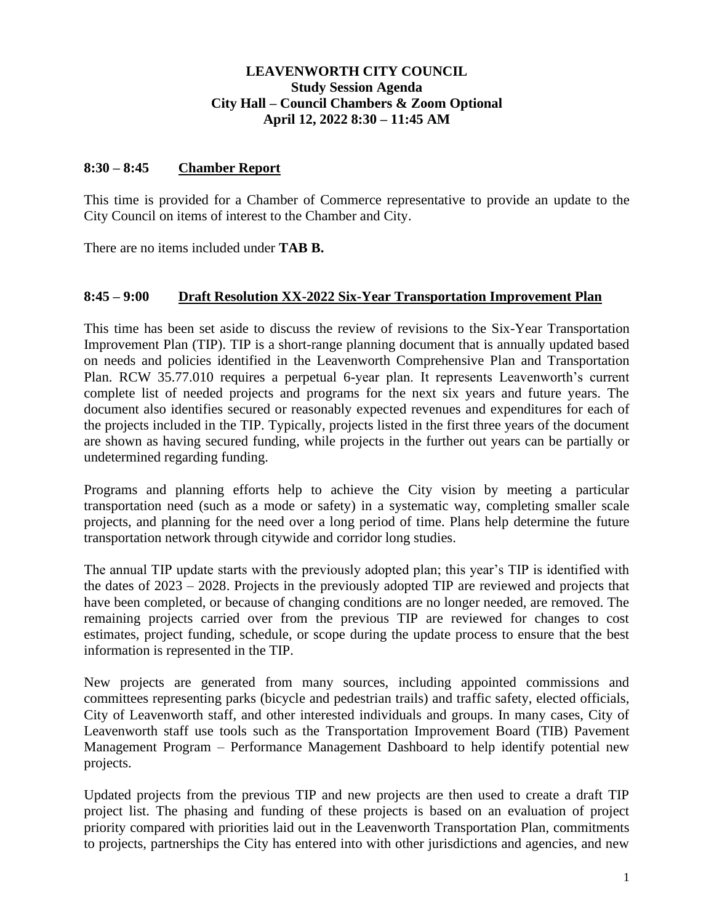## **LEAVENWORTH CITY COUNCIL Study Session Agenda City Hall – Council Chambers & Zoom Optional April 12, 2022 8:30 – 11:45 AM**

#### **8:30 – 8:45 Chamber Report**

This time is provided for a Chamber of Commerce representative to provide an update to the City Council on items of interest to the Chamber and City.

There are no items included under **TAB B.**

#### **8:45 – 9:00 Draft Resolution XX-2022 Six-Year Transportation Improvement Plan**

This time has been set aside to discuss the review of revisions to the Six-Year Transportation Improvement Plan (TIP). TIP is a short-range planning document that is annually updated based on needs and policies identified in the Leavenworth Comprehensive Plan and Transportation Plan. RCW 35.77.010 requires a perpetual 6-year plan. It represents Leavenworth's current complete list of needed projects and programs for the next six years and future years. The document also identifies secured or reasonably expected revenues and expenditures for each of the projects included in the TIP. Typically, projects listed in the first three years of the document are shown as having secured funding, while projects in the further out years can be partially or undetermined regarding funding.

Programs and planning efforts help to achieve the City vision by meeting a particular transportation need (such as a mode or safety) in a systematic way, completing smaller scale projects, and planning for the need over a long period of time. Plans help determine the future transportation network through citywide and corridor long studies.

The annual TIP update starts with the previously adopted plan; this year's TIP is identified with the dates of 2023 – 2028. Projects in the previously adopted TIP are reviewed and projects that have been completed, or because of changing conditions are no longer needed, are removed. The remaining projects carried over from the previous TIP are reviewed for changes to cost estimates, project funding, schedule, or scope during the update process to ensure that the best information is represented in the TIP.

New projects are generated from many sources, including appointed commissions and committees representing parks (bicycle and pedestrian trails) and traffic safety, elected officials, City of Leavenworth staff, and other interested individuals and groups. In many cases, City of Leavenworth staff use tools such as the Transportation Improvement Board (TIB) Pavement Management Program – Performance Management Dashboard to help identify potential new projects.

Updated projects from the previous TIP and new projects are then used to create a draft TIP project list. The phasing and funding of these projects is based on an evaluation of project priority compared with priorities laid out in the Leavenworth Transportation Plan, commitments to projects, partnerships the City has entered into with other jurisdictions and agencies, and new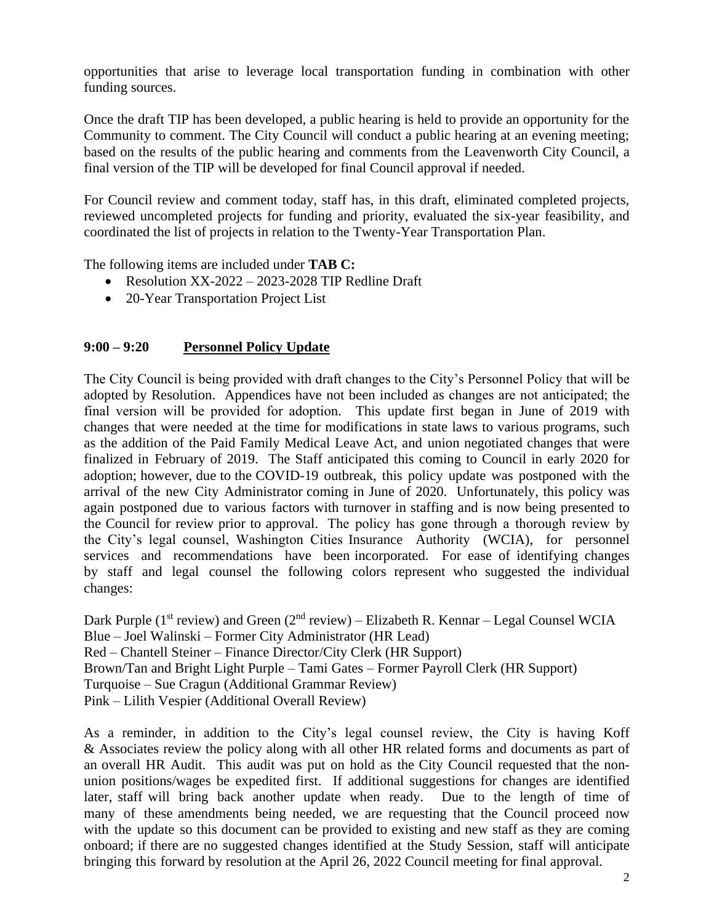opportunities that arise to leverage local transportation funding in combination with other funding sources.

Once the draft TIP has been developed, a public hearing is held to provide an opportunity for the Community to comment. The City Council will conduct a public hearing at an evening meeting; based on the results of the public hearing and comments from the Leavenworth City Council, a final version of the TIP will be developed for final Council approval if needed.

For Council review and comment today, staff has, in this draft, eliminated completed projects, reviewed uncompleted projects for funding and priority, evaluated the six-year feasibility, and coordinated the list of projects in relation to the Twenty-Year Transportation Plan.

The following items are included under **TAB C:**

- Resolution XX-2022 2023-2028 TIP Redline Draft
- 20-Year Transportation Project List

## **9:00 – 9:20 Personnel Policy Update**

The City Council is being provided with draft changes to the City's Personnel Policy that will be adopted by Resolution. Appendices have not been included as changes are not anticipated; the final version will be provided for adoption. This update first began in June of 2019 with changes that were needed at the time for modifications in state laws to various programs, such as the addition of the Paid Family Medical Leave Act, and union negotiated changes that were finalized in February of 2019. The Staff anticipated this coming to Council in early 2020 for adoption; however, due to the COVID-19 outbreak, this policy update was postponed with the arrival of the new City Administrator coming in June of 2020. Unfortunately, this policy was again postponed due to various factors with turnover in staffing and is now being presented to the Council for review prior to approval. The policy has gone through a thorough review by the City's legal counsel, Washington Cities Insurance Authority (WCIA), for personnel services and recommendations have been incorporated. For ease of identifying changes by staff and legal counsel the following colors represent who suggested the individual changes:

Dark Purple (1<sup>st</sup> review) and Green (2<sup>nd</sup> review) – Elizabeth R. Kennar – Legal Counsel WCIA Blue – Joel Walinski – Former City Administrator (HR Lead) Red – Chantell Steiner – Finance Director/City Clerk (HR Support) Brown/Tan and Bright Light Purple – Tami Gates – Former Payroll Clerk (HR Support) Turquoise – Sue Cragun (Additional Grammar Review) Pink – Lilith Vespier (Additional Overall Review)

As a reminder, in addition to the City's legal counsel review, the City is having Koff & Associates review the policy along with all other HR related forms and documents as part of an overall HR Audit. This audit was put on hold as the City Council requested that the nonunion positions/wages be expedited first. If additional suggestions for changes are identified later, staff will bring back another update when ready. Due to the length of time of many of these amendments being needed, we are requesting that the Council proceed now with the update so this document can be provided to existing and new staff as they are coming onboard; if there are no suggested changes identified at the Study Session, staff will anticipate bringing this forward by resolution at the April 26, 2022 Council meeting for final approval.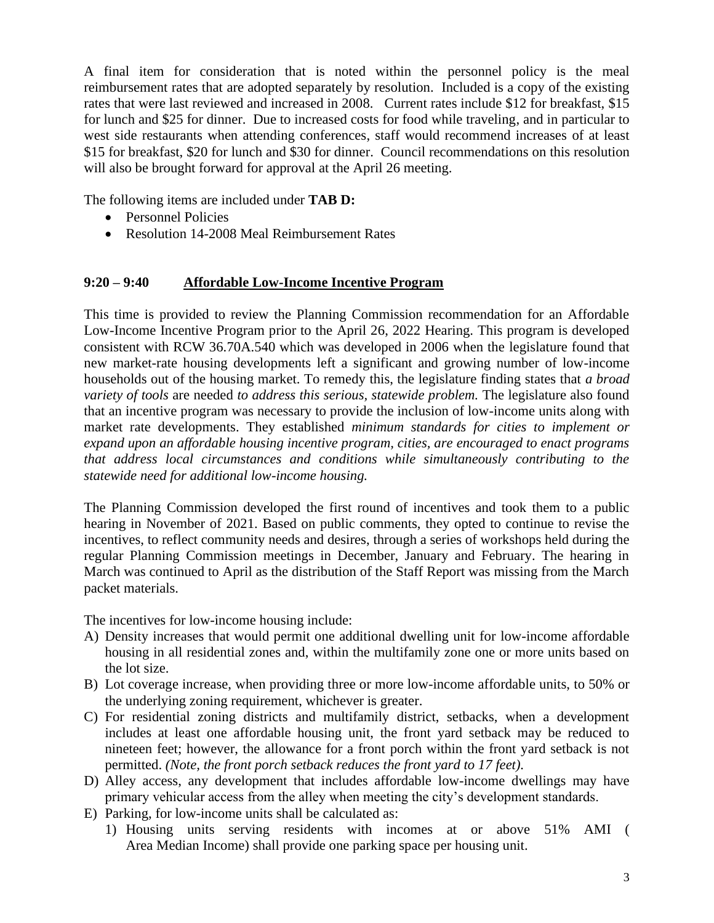A final item for consideration that is noted within the personnel policy is the meal reimbursement rates that are adopted separately by resolution. Included is a copy of the existing rates that were last reviewed and increased in 2008. Current rates include \$12 for breakfast, \$15 for lunch and \$25 for dinner. Due to increased costs for food while traveling, and in particular to west side restaurants when attending conferences, staff would recommend increases of at least \$15 for breakfast, \$20 for lunch and \$30 for dinner. Council recommendations on this resolution will also be brought forward for approval at the April 26 meeting.

The following items are included under **TAB D:**

- Personnel Policies
- Resolution 14-2008 Meal Reimbursement Rates

# **9:20 – 9:40 Affordable Low-Income Incentive Program**

This time is provided to review the Planning Commission recommendation for an Affordable Low-Income Incentive Program prior to the April 26, 2022 Hearing. This program is developed consistent with RCW 36.70A.540 which was developed in 2006 when the legislature found that new market-rate housing developments left a significant and growing number of low-income households out of the housing market. To remedy this, the legislature finding states that *a broad variety of tools* are needed *to address this serious, statewide problem.* The legislature also found that an incentive program was necessary to provide the inclusion of low-income units along with market rate developments. They established *minimum standards for cities to implement or expand upon an affordable housing incentive program, cities, are encouraged to enact programs that address local circumstances and conditions while simultaneously contributing to the statewide need for additional low-income housing.*

The Planning Commission developed the first round of incentives and took them to a public hearing in November of 2021. Based on public comments, they opted to continue to revise the incentives, to reflect community needs and desires, through a series of workshops held during the regular Planning Commission meetings in December, January and February. The hearing in March was continued to April as the distribution of the Staff Report was missing from the March packet materials.

The incentives for low-income housing include:

- A) Density increases that would permit one additional dwelling unit for low-income affordable housing in all residential zones and, within the multifamily zone one or more units based on the lot size.
- B) Lot coverage increase, when providing three or more low-income affordable units, to 50% or the underlying zoning requirement, whichever is greater.
- C) For residential zoning districts and multifamily district, setbacks, when a development includes at least one affordable housing unit, the front yard setback may be reduced to nineteen feet; however, the allowance for a front porch within the front yard setback is not permitted. *(Note, the front porch setback reduces the front yard to 17 feet).*
- D) Alley access, any development that includes affordable low-income dwellings may have primary vehicular access from the alley when meeting the city's development standards.
- E) Parking, for low-income units shall be calculated as:
	- 1) Housing units serving residents with incomes at or above 51% AMI ( Area Median Income) shall provide one parking space per housing unit.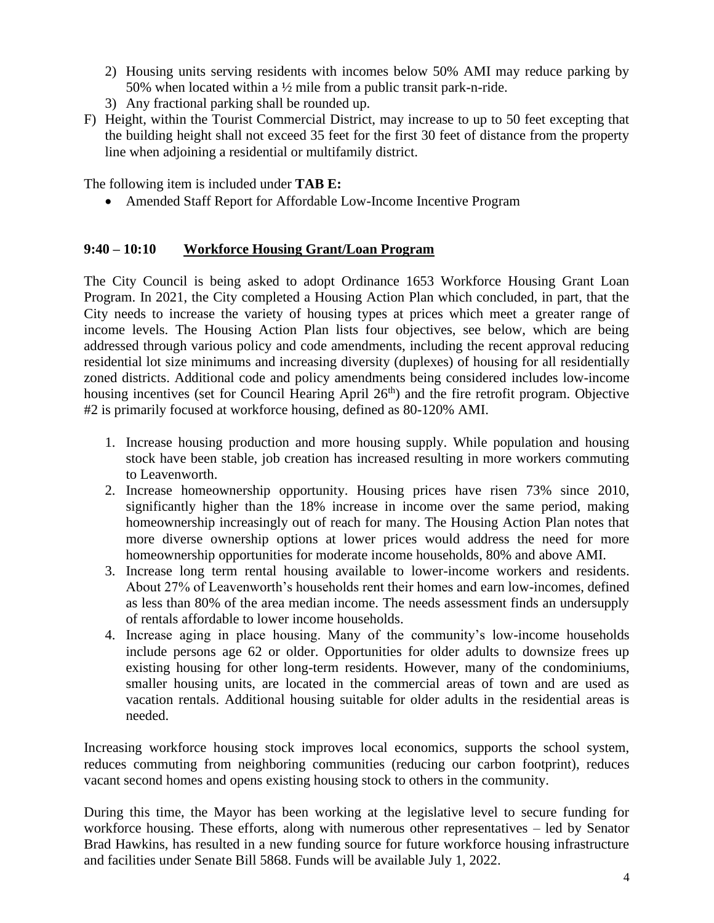- 2) Housing units serving residents with incomes below 50% AMI may reduce parking by 50% when located within a ½ mile from a public transit park-n-ride.
- 3) Any fractional parking shall be rounded up.
- F) Height, within the Tourist Commercial District, may increase to up to 50 feet excepting that the building height shall not exceed 35 feet for the first 30 feet of distance from the property line when adjoining a residential or multifamily district.

The following item is included under **TAB E:**

• Amended Staff Report for Affordable Low-Income Incentive Program

## **9:40 – 10:10 Workforce Housing Grant/Loan Program**

The City Council is being asked to adopt Ordinance 1653 Workforce Housing Grant Loan Program. In 2021, the City completed a Housing Action Plan which concluded, in part, that the City needs to increase the variety of housing types at prices which meet a greater range of income levels. The Housing Action Plan lists four objectives, see below, which are being addressed through various policy and code amendments, including the recent approval reducing residential lot size minimums and increasing diversity (duplexes) of housing for all residentially zoned districts. Additional code and policy amendments being considered includes low-income housing incentives (set for Council Hearing April 26<sup>th</sup>) and the fire retrofit program. Objective #2 is primarily focused at workforce housing, defined as 80-120% AMI.

- 1. Increase housing production and more housing supply. While population and housing stock have been stable, job creation has increased resulting in more workers commuting to Leavenworth.
- 2. Increase homeownership opportunity. Housing prices have risen 73% since 2010, significantly higher than the 18% increase in income over the same period, making homeownership increasingly out of reach for many. The Housing Action Plan notes that more diverse ownership options at lower prices would address the need for more homeownership opportunities for moderate income households, 80% and above AMI.
- 3. Increase long term rental housing available to lower-income workers and residents. About 27% of Leavenworth's households rent their homes and earn low-incomes, defined as less than 80% of the area median income. The needs assessment finds an undersupply of rentals affordable to lower income households.
- 4. Increase aging in place housing. Many of the community's low-income households include persons age 62 or older. Opportunities for older adults to downsize frees up existing housing for other long-term residents. However, many of the condominiums, smaller housing units, are located in the commercial areas of town and are used as vacation rentals. Additional housing suitable for older adults in the residential areas is needed.

Increasing workforce housing stock improves local economics, supports the school system, reduces commuting from neighboring communities (reducing our carbon footprint), reduces vacant second homes and opens existing housing stock to others in the community.

During this time, the Mayor has been working at the legislative level to secure funding for workforce housing. These efforts, along with numerous other representatives – led by Senator Brad Hawkins, has resulted in a new funding source for future workforce housing infrastructure and facilities under Senate Bill 5868. Funds will be available July 1, 2022.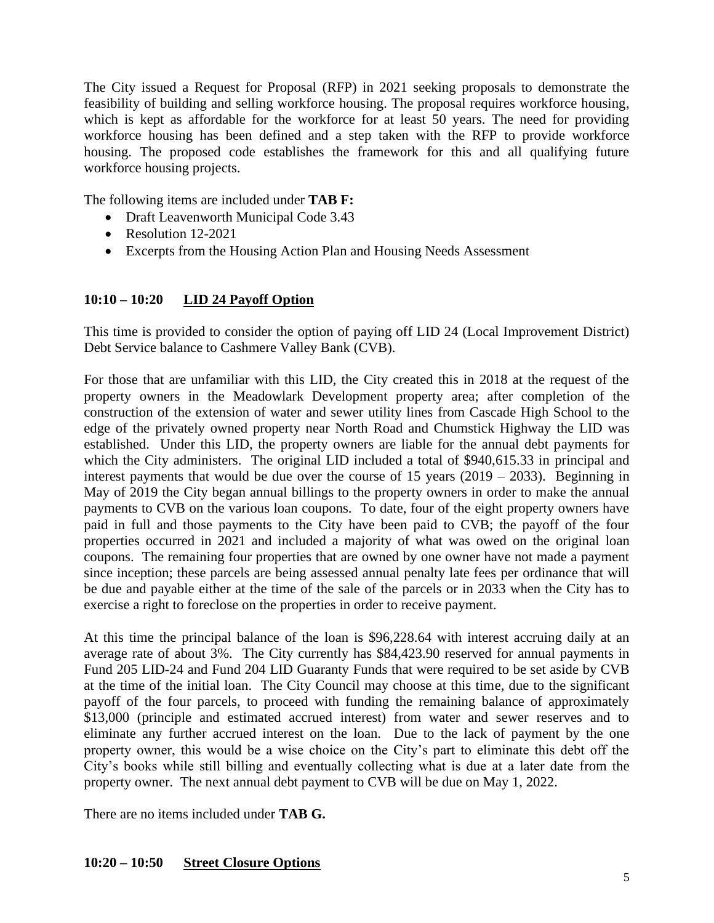The City issued a Request for Proposal (RFP) in 2021 seeking proposals to demonstrate the feasibility of building and selling workforce housing. The proposal requires workforce housing, which is kept as affordable for the workforce for at least 50 years. The need for providing workforce housing has been defined and a step taken with the RFP to provide workforce housing. The proposed code establishes the framework for this and all qualifying future workforce housing projects.

The following items are included under **TAB F:**

- Draft Leavenworth Municipal Code 3.43
- Resolution 12-2021
- Excerpts from the Housing Action Plan and Housing Needs Assessment

#### **10:10 – 10:20 LID 24 Payoff Option**

This time is provided to consider the option of paying off LID 24 (Local Improvement District) Debt Service balance to Cashmere Valley Bank (CVB).

For those that are unfamiliar with this LID, the City created this in 2018 at the request of the property owners in the Meadowlark Development property area; after completion of the construction of the extension of water and sewer utility lines from Cascade High School to the edge of the privately owned property near North Road and Chumstick Highway the LID was established. Under this LID, the property owners are liable for the annual debt payments for which the City administers. The original LID included a total of \$940,615.33 in principal and interest payments that would be due over the course of 15 years  $(2019 - 2033)$ . Beginning in May of 2019 the City began annual billings to the property owners in order to make the annual payments to CVB on the various loan coupons. To date, four of the eight property owners have paid in full and those payments to the City have been paid to CVB; the payoff of the four properties occurred in 2021 and included a majority of what was owed on the original loan coupons. The remaining four properties that are owned by one owner have not made a payment since inception; these parcels are being assessed annual penalty late fees per ordinance that will be due and payable either at the time of the sale of the parcels or in 2033 when the City has to exercise a right to foreclose on the properties in order to receive payment.

At this time the principal balance of the loan is \$96,228.64 with interest accruing daily at an average rate of about 3%. The City currently has \$84,423.90 reserved for annual payments in Fund 205 LID-24 and Fund 204 LID Guaranty Funds that were required to be set aside by CVB at the time of the initial loan. The City Council may choose at this time, due to the significant payoff of the four parcels, to proceed with funding the remaining balance of approximately \$13,000 (principle and estimated accrued interest) from water and sewer reserves and to eliminate any further accrued interest on the loan. Due to the lack of payment by the one property owner, this would be a wise choice on the City's part to eliminate this debt off the City's books while still billing and eventually collecting what is due at a later date from the property owner. The next annual debt payment to CVB will be due on May 1, 2022.

There are no items included under **TAB G.**

## **10:20 – 10:50 Street Closure Options**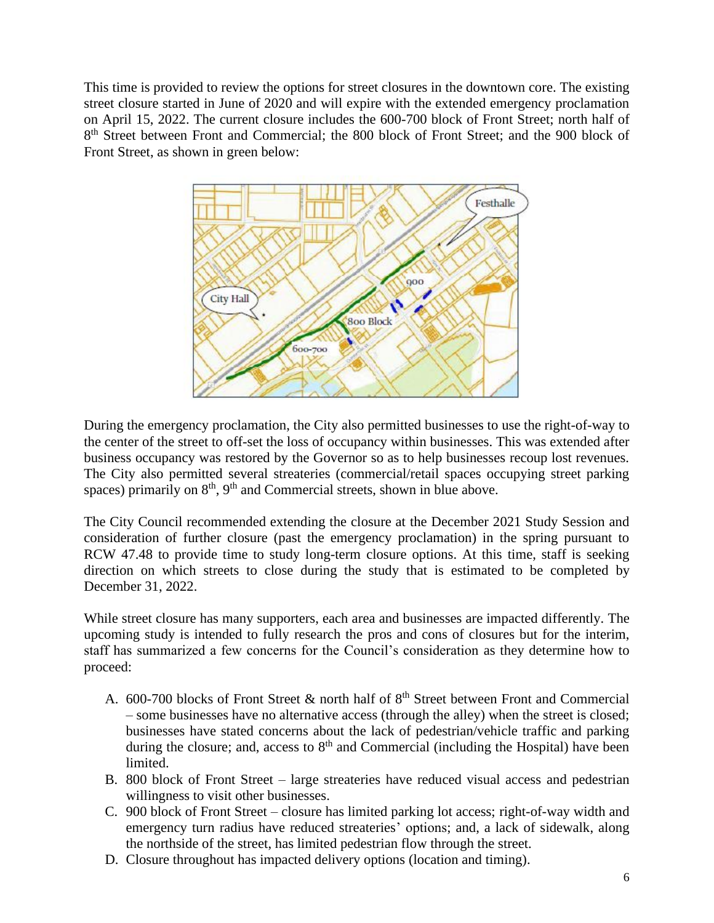This time is provided to review the options for street closures in the downtown core. The existing street closure started in June of 2020 and will expire with the extended emergency proclamation on April 15, 2022. The current closure includes the 600-700 block of Front Street; north half of 8<sup>th</sup> Street between Front and Commercial; the 800 block of Front Street; and the 900 block of Front Street, as shown in green below:



During the emergency proclamation, the City also permitted businesses to use the right-of-way to the center of the street to off-set the loss of occupancy within businesses. This was extended after business occupancy was restored by the Governor so as to help businesses recoup lost revenues. The City also permitted several streateries (commercial/retail spaces occupying street parking spaces) primarily on  $8<sup>th</sup>$ ,  $9<sup>th</sup>$  and Commercial streets, shown in blue above.

The City Council recommended extending the closure at the December 2021 Study Session and consideration of further closure (past the emergency proclamation) in the spring pursuant to RCW 47.48 to provide time to study long-term closure options. At this time, staff is seeking direction on which streets to close during the study that is estimated to be completed by December 31, 2022.

While street closure has many supporters, each area and businesses are impacted differently. The upcoming study is intended to fully research the pros and cons of closures but for the interim, staff has summarized a few concerns for the Council's consideration as they determine how to proceed:

- A. 600-700 blocks of Front Street  $&$  north half of  $8<sup>th</sup>$  Street between Front and Commercial – some businesses have no alternative access (through the alley) when the street is closed; businesses have stated concerns about the lack of pedestrian/vehicle traffic and parking during the closure; and, access to  $8<sup>th</sup>$  and Commercial (including the Hospital) have been limited.
- B. 800 block of Front Street large streateries have reduced visual access and pedestrian willingness to visit other businesses.
- C. 900 block of Front Street closure has limited parking lot access; right-of-way width and emergency turn radius have reduced streateries' options; and, a lack of sidewalk, along the northside of the street, has limited pedestrian flow through the street.
- D. Closure throughout has impacted delivery options (location and timing).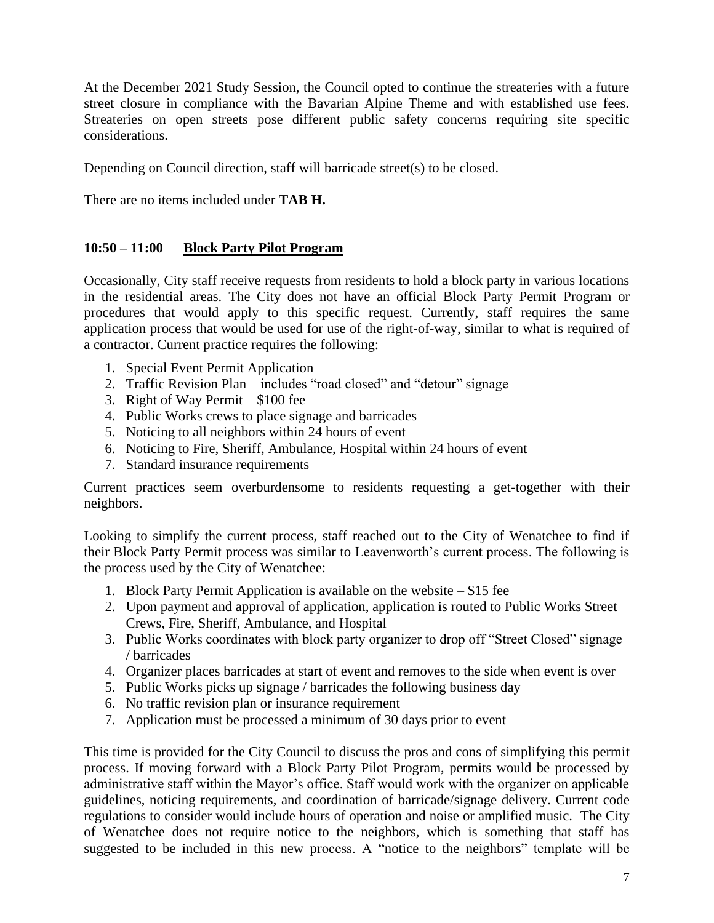At the December 2021 Study Session, the Council opted to continue the streateries with a future street closure in compliance with the Bavarian Alpine Theme and with established use fees. Streateries on open streets pose different public safety concerns requiring site specific considerations.

Depending on Council direction, staff will barricade street(s) to be closed.

There are no items included under **TAB H.**

## **10:50 – 11:00 Block Party Pilot Program**

Occasionally, City staff receive requests from residents to hold a block party in various locations in the residential areas. The City does not have an official Block Party Permit Program or procedures that would apply to this specific request. Currently, staff requires the same application process that would be used for use of the right-of-way, similar to what is required of a contractor. Current practice requires the following:

- 1. Special Event Permit Application
- 2. Traffic Revision Plan includes "road closed" and "detour" signage
- 3. Right of Way Permit \$100 fee
- 4. Public Works crews to place signage and barricades
- 5. Noticing to all neighbors within 24 hours of event
- 6. Noticing to Fire, Sheriff, Ambulance, Hospital within 24 hours of event
- 7. Standard insurance requirements

Current practices seem overburdensome to residents requesting a get-together with their neighbors.

Looking to simplify the current process, staff reached out to the City of Wenatchee to find if their Block Party Permit process was similar to Leavenworth's current process. The following is the process used by the City of Wenatchee:

- 1. Block Party Permit Application is available on the website \$15 fee
- 2. Upon payment and approval of application, application is routed to Public Works Street Crews, Fire, Sheriff, Ambulance, and Hospital
- 3. Public Works coordinates with block party organizer to drop off "Street Closed" signage / barricades
- 4. Organizer places barricades at start of event and removes to the side when event is over
- 5. Public Works picks up signage / barricades the following business day
- 6. No traffic revision plan or insurance requirement
- 7. Application must be processed a minimum of 30 days prior to event

This time is provided for the City Council to discuss the pros and cons of simplifying this permit process. If moving forward with a Block Party Pilot Program, permits would be processed by administrative staff within the Mayor's office. Staff would work with the organizer on applicable guidelines, noticing requirements, and coordination of barricade/signage delivery. Current code regulations to consider would include hours of operation and noise or amplified music. The City of Wenatchee does not require notice to the neighbors, which is something that staff has suggested to be included in this new process. A "notice to the neighbors" template will be